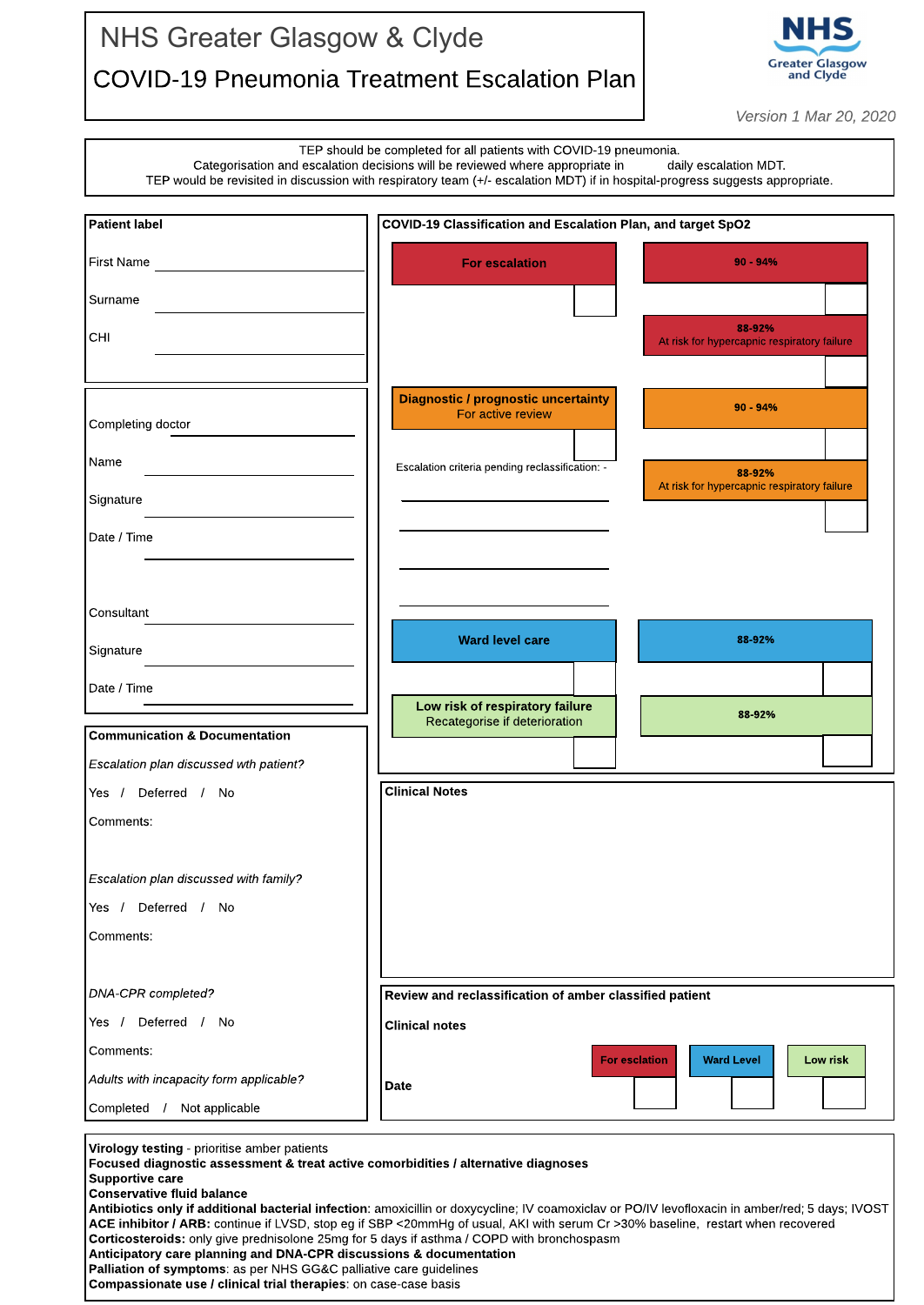## NHS Greater Glasgow & Clyde COVID-19 Pneumonia Treatment Escalation Plan



**Version 1 Mar 20, 2020**

|                                              |                                                                                                                                                                                                                                                                                     | $V$ GI 31011 $\perp$ IVIUI $\angle U$ , $\angle U\angle V$ |  |
|----------------------------------------------|-------------------------------------------------------------------------------------------------------------------------------------------------------------------------------------------------------------------------------------------------------------------------------------|------------------------------------------------------------|--|
|                                              | TEP should be completed for all patients with COVID-19 pneumonia.<br>Categorisation and escalation decisions will be reviewed where appropriate in<br>TEP would be revisited in discussion with respiratory team (+/- escalation MDT) if in hospital-progress suggests appropriate. | daily escalation MDT.                                      |  |
| <b>Patient label</b>                         | COVID-19 Classification and Escalation Plan, and target SpO2                                                                                                                                                                                                                        |                                                            |  |
| <b>First Name</b>                            | <b>For escalation</b>                                                                                                                                                                                                                                                               | $90 - 94%$                                                 |  |
| Surname                                      |                                                                                                                                                                                                                                                                                     |                                                            |  |
| CHI                                          |                                                                                                                                                                                                                                                                                     | 88-92%<br>At risk for hypercapnic respiratory failure      |  |
|                                              |                                                                                                                                                                                                                                                                                     |                                                            |  |
| Completing doctor                            | <b>Diagnostic / prognostic uncertainty</b><br>For active review                                                                                                                                                                                                                     | $90 - 94%$                                                 |  |
| Name                                         |                                                                                                                                                                                                                                                                                     |                                                            |  |
|                                              | Escalation criteria pending reclassification: -                                                                                                                                                                                                                                     | 88-92%<br>At risk for hypercapnic respiratory failure      |  |
| Signature                                    |                                                                                                                                                                                                                                                                                     |                                                            |  |
| Date / Time                                  |                                                                                                                                                                                                                                                                                     |                                                            |  |
|                                              |                                                                                                                                                                                                                                                                                     |                                                            |  |
| Consultant                                   |                                                                                                                                                                                                                                                                                     |                                                            |  |
| Signature                                    | <b>Ward level care</b>                                                                                                                                                                                                                                                              | 88-92%                                                     |  |
| Date / Time                                  |                                                                                                                                                                                                                                                                                     |                                                            |  |
|                                              | Low risk of respiratory failure<br>Recategorise if deterioration                                                                                                                                                                                                                    | 88-92%                                                     |  |
| <b>Communication &amp; Documentation</b>     |                                                                                                                                                                                                                                                                                     |                                                            |  |
| Escalation plan discussed wth patient?       |                                                                                                                                                                                                                                                                                     |                                                            |  |
| Deferred /<br>Yes /<br>No                    | <b>Clinical Notes</b>                                                                                                                                                                                                                                                               |                                                            |  |
| Comments:                                    |                                                                                                                                                                                                                                                                                     |                                                            |  |
| Escalation plan discussed with family?       |                                                                                                                                                                                                                                                                                     |                                                            |  |
| Deferred / No<br>Yes /                       |                                                                                                                                                                                                                                                                                     |                                                            |  |
| Comments:                                    |                                                                                                                                                                                                                                                                                     |                                                            |  |
|                                              |                                                                                                                                                                                                                                                                                     |                                                            |  |
| <b>DNA-CPR</b> completed?                    |                                                                                                                                                                                                                                                                                     | Review and reclassification of amber classified patient    |  |
| Deferred / No<br>Yes /                       | <b>Clinical notes</b>                                                                                                                                                                                                                                                               |                                                            |  |
| Comments:                                    | <b>For esclation</b>                                                                                                                                                                                                                                                                | <b>Ward Level</b><br>Low risk                              |  |
| Adults with incapacity form applicable?      | <b>Date</b>                                                                                                                                                                                                                                                                         |                                                            |  |
| Completed /<br>Not applicable                |                                                                                                                                                                                                                                                                                     |                                                            |  |
| Wirology testing - prioritise amber patients |                                                                                                                                                                                                                                                                                     |                                                            |  |

Virology testing - prioritise amber patients

Focused diagnostic assessment & treat active comorbidities / alternative diagnoses

Supportive care Conservative fluid balance

Antibiotics only if additional bacterial infection: amoxicillin or doxycycline; IV coamoxiclav or PO/IV levofloxacin in amber/red; 5 days; IVOST ACE inhibitor / ARB: continue if LVSD, stop eg if SBP <20mmHg of usual, AKI with serum Cr >30% baseline, restart when recovered Corticosteroids: only give prednisolone 25mg for 5 days if asthma / COPD with bronchospasm Anticipatory care planning and DNA-CPR discussions & documentation Palliation of symptoms: as per NHS GG&C palliative care guidelines

Compassionate use / clinical trial therapies: on case-case basis